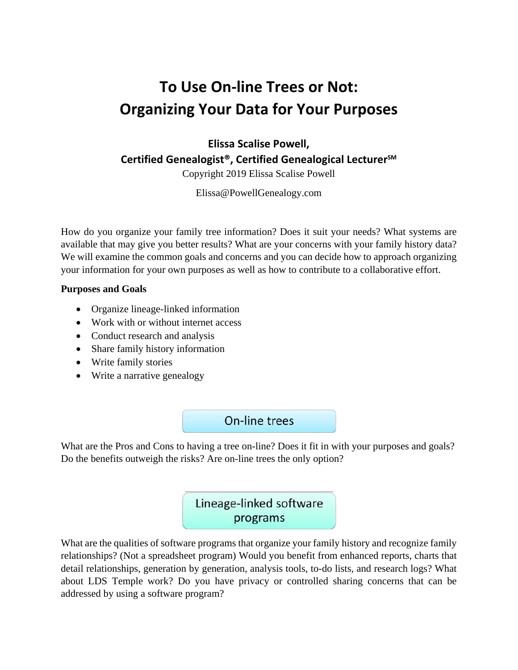# **To Use On‐line Trees or Not: Organizing Your Data for Your Purposes**

**Elissa Scalise Powell, Certified Genealogist®, Certified Genealogical LecturerSM**

Copyright 2019 Elissa Scalise Powell

Elissa@PowellGenealogy.com

How do you organize your family tree information? Does it suit your needs? What systems are available that may give you better results? What are your concerns with your family history data? We will examine the common goals and concerns and you can decide how to approach organizing your information for your own purposes as well as how to contribute to a collaborative effort.

#### **Purposes and Goals**

- Organize lineage-linked information
- Work with or without internet access
- Conduct research and analysis
- Share family history information
- Write family stories
- Write a narrative genealogy

#### On-line trees

What are the Pros and Cons to having a tree on-line? Does it fit in with your purposes and goals? Do the benefits outweigh the risks? Are on-line trees the only option?

## Lineage-linked software programs

What are the qualities of software programs that organize your family history and recognize family relationships? (Not a spreadsheet program) Would you benefit from enhanced reports, charts that detail relationships, generation by generation, analysis tools, to-do lists, and research logs? What about LDS Temple work? Do you have privacy or controlled sharing concerns that can be addressed by using a software program?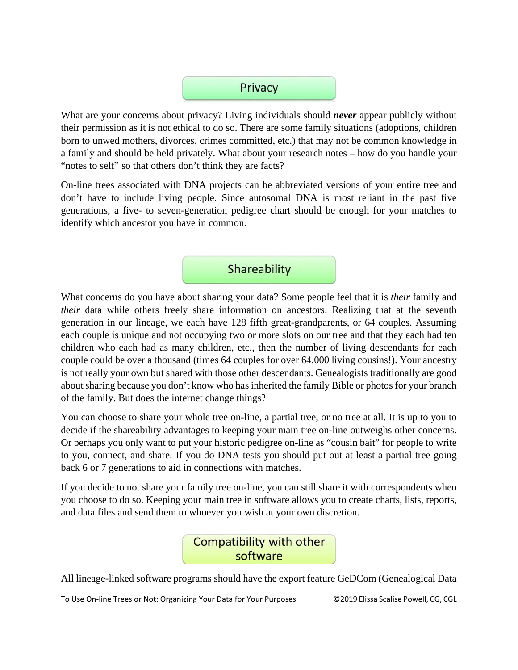

What are your concerns about privacy? Living individuals should *never* appear publicly without their permission as it is not ethical to do so. There are some family situations (adoptions, children born to unwed mothers, divorces, crimes committed, etc.) that may not be common knowledge in a family and should be held privately. What about your research notes – how do you handle your "notes to self" so that others don't think they are facts?

On-line trees associated with DNA projects can be abbreviated versions of your entire tree and don't have to include living people. Since autosomal DNA is most reliant in the past five generations, a five- to seven-generation pedigree chart should be enough for your matches to identify which ancestor you have in common.

### Shareability

What concerns do you have about sharing your data? Some people feel that it is *their* family and *their* data while others freely share information on ancestors. Realizing that at the seventh generation in our lineage, we each have 128 fifth great-grandparents, or 64 couples. Assuming each couple is unique and not occupying two or more slots on our tree and that they each had ten children who each had as many children, etc., then the number of living descendants for each couple could be over a thousand (times 64 couples for over 64,000 living cousins!). Your ancestry is not really your own but shared with those other descendants. Genealogists traditionally are good about sharing because you don't know who has inherited the family Bible or photos for your branch of the family. But does the internet change things?

You can choose to share your whole tree on-line, a partial tree, or no tree at all. It is up to you to decide if the shareability advantages to keeping your main tree on-line outweighs other concerns. Or perhaps you only want to put your historic pedigree on-line as "cousin bait" for people to write to you, connect, and share. If you do DNA tests you should put out at least a partial tree going back 6 or 7 generations to aid in connections with matches.

If you decide to not share your family tree on-line, you can still share it with correspondents when you choose to do so. Keeping your main tree in software allows you to create charts, lists, reports, and data files and send them to whoever you wish at your own discretion.



All lineage-linked software programs should have the export feature GeDCom (Genealogical Data

To Use On‐line Trees or Not: Organizing Your Data for Your Purposes ©2019 Elissa Scalise Powell, CG, CGL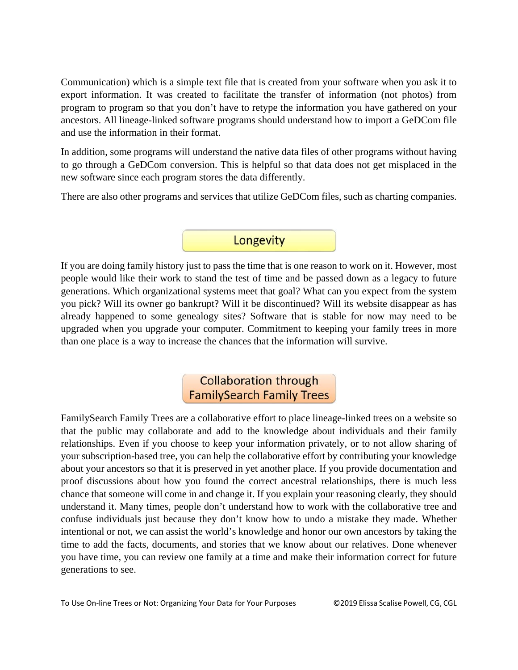Communication) which is a simple text file that is created from your software when you ask it to export information. It was created to facilitate the transfer of information (not photos) from program to program so that you don't have to retype the information you have gathered on your ancestors. All lineage-linked software programs should understand how to import a GeDCom file and use the information in their format.

In addition, some programs will understand the native data files of other programs without having to go through a GeDCom conversion. This is helpful so that data does not get misplaced in the new software since each program stores the data differently.

There are also other programs and services that utilize GeDCom files, such as charting companies.

### Longevity

If you are doing family history just to pass the time that is one reason to work on it. However, most people would like their work to stand the test of time and be passed down as a legacy to future generations. Which organizational systems meet that goal? What can you expect from the system you pick? Will its owner go bankrupt? Will it be discontinued? Will its website disappear as has already happened to some genealogy sites? Software that is stable for now may need to be upgraded when you upgrade your computer. Commitment to keeping your family trees in more than one place is a way to increase the chances that the information will survive.

## **Collaboration through FamilySearch Family Trees**

FamilySearch Family Trees are a collaborative effort to place lineage-linked trees on a website so that the public may collaborate and add to the knowledge about individuals and their family relationships. Even if you choose to keep your information privately, or to not allow sharing of your subscription-based tree, you can help the collaborative effort by contributing your knowledge about your ancestors so that it is preserved in yet another place. If you provide documentation and proof discussions about how you found the correct ancestral relationships, there is much less chance that someone will come in and change it. If you explain your reasoning clearly, they should understand it. Many times, people don't understand how to work with the collaborative tree and confuse individuals just because they don't know how to undo a mistake they made. Whether intentional or not, we can assist the world's knowledge and honor our own ancestors by taking the time to add the facts, documents, and stories that we know about our relatives. Done whenever you have time, you can review one family at a time and make their information correct for future generations to see.